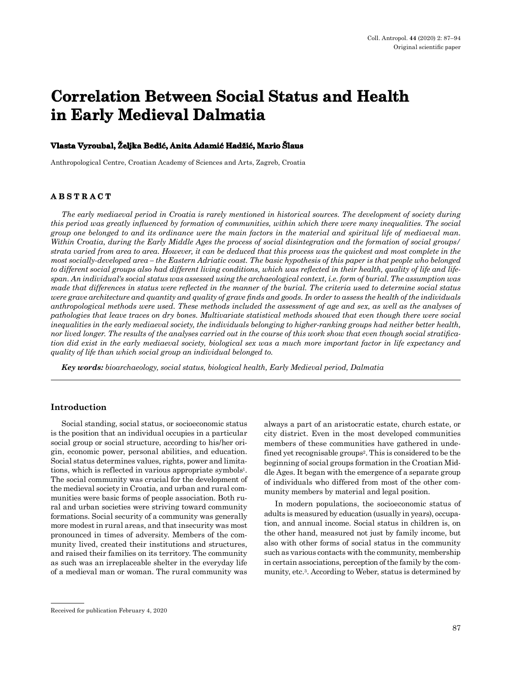# **Correlation Between Social Status and Health in Early Medieval Dalmatia**

#### **Vlasta Vyroubal, Željka Bedić, Anita Adamić Hadžić, Mario Šlaus**

Anthropological Centre, Croatian Academy of Sciences and Arts, Zagreb, Croatia

# **ABSTRACT**

*The early mediaeval period in Croatia is rarely mentioned in historical sources. The development of society during this period was greatly influenced by formation of communities, within which there were many inequalities. The social group one belonged to and its ordinance were the main factors in the material and spiritual life of mediaeval man. Within Croatia, during the Early Middle Ages the process of social disintegration and the formation of social groups/ strata varied from area to area. However, it can be deduced that this process was the quickest and most complete in the most socially-developed area – the Eastern Adriatic coast. The basic hypothesis of this paper is that people who belonged to different social groups also had different living conditions, which was reflected in their health, quality of life and lifespan. An individual's social status was assessed using the archaeological context, i.e. form of burial. The assumption was made that differences in status were reflected in the manner of the burial. The criteria used to determine social status were grave architecture and quantity and quality of grave finds and goods. In order to assess the health of the individuals anthropological methods were used. These methods included the assessment of age and sex, as well as the analyses of pathologies that leave traces on dry bones. Multivariate statistical methods showed that even though there were social inequalities in the early mediaeval society, the individuals belonging to higher-ranking groups had neither better health, nor lived longer. The results of the analyses carried out in the course of this work show that even though social stratification did exist in the early mediaeval society, biological sex was a much more important factor in life expectancy and quality of life than which social group an individual belonged to.*

*Key words: bioarchaeology, social status, biological health, Early Medieval period, Dalmatia*

#### **Introduction**

Social standing, social status, or socioeconomic status is the position that an individual occupies in a particular social group or social structure, according to his/her origin, economic power, personal abilities, and education. Social status determines values, rights, power and limitations, which is reflected in various appropriate symbols<sup>1</sup>. The social community was crucial for the development of the medieval society in Croatia, and urban and rural communities were basic forms of people association. Both rural and urban societies were striving toward community formations. Social security of a community was generally more modest in rural areas, and that insecurity was most pronounced in times of adversity. Members of the community lived, created their institutions and structures, and raised their families on its territory. The community as such was an irreplaceable shelter in the everyday life of a medieval man or woman. The rural community was always a part of an aristocratic estate, church estate, or city district. Even in the most developed communities members of these communities have gathered in undefined yet recognisable groups2. This is considered to be the beginning of social groups formation in the Croatian Middle Ages. It began with the emergence of a separate group of individuals who differed from most of the other community members by material and legal position.

In modern populations, the socioeconomic status of adults is measured by education (usually in years), occupation, and annual income. Social status in children is, on the other hand, measured not just by family income, but also with other forms of social status in the community such as various contacts with the community, membership in certain associations, perception of the family by the community, etc.3. According to Weber, status is determined by

Received for publication February 4, 2020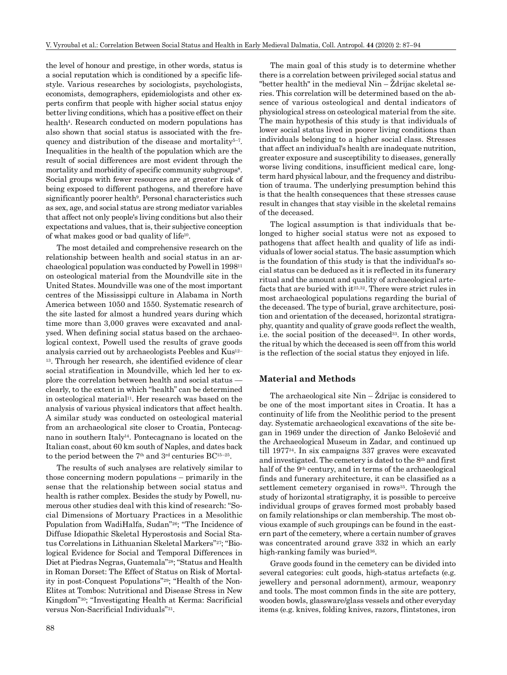the level of honour and prestige, in other words, status is a social reputation which is conditioned by a specific lifestyle. Various researches by sociologists, psychologists, economists, demographers, epidemiologists and other experts confirm that people with higher social status enjoy better living conditions, which has a positive effect on their health<sup>4</sup>. Research conducted on modern populations has also shown that social status is associated with the frequency and distribution of the disease and mortality<sup>5-7</sup>. Inequalities in the health of the population which are the result of social differences are most evident through the mortality and morbidity of specific community subgroups<sup>8</sup>. Social groups with fewer resources are at greater risk of being exposed to different pathogens, and therefore have significantly poorer health<sup>9</sup>. Personal characteristics such as sex, age, and social status are strong mediator variables that affect not only people's living conditions but also their expectations and values, that is, their subjective conception of what makes good or bad quality of life10.

The most detailed and comprehensive research on the relationship between health and social status in an archaeological population was conducted by Powell in 199811 on osteological material from the Moundville site in the United States. Moundville was one of the most important centres of the Mississippi culture in Alabama in North America between 1050 and 1550. Systematic research of the site lasted for almost a hundred years during which time more than 3,000 graves were excavated and analysed. When defining social status based on the archaeological context, Powell used the results of grave goods analysis carried out by archaeologists Peebles and Kus12– 13. Through her research, she identified evidence of clear social stratification in Moundville, which led her to explore the correlation between health and social status clearly, to the extent in which "health" can be determined in osteological material<sup>11</sup>. Her research was based on the analysis of various physical indicators that affect health. A similar study was conducted on osteological material from an archaeological site closer to Croatia, Pontecagnano in southern Italy14. Pontecagnano is located on the Italian coast, about 60 km south of Naples, and dates back to the period between the 7th and 3rd centuries BC15–25.

The results of such analyses are relatively similar to those concerning modern populations – primarily in the sense that the relationship between social status and health is rather complex. Besides the study by Powell, numerous other studies deal with this kind of research: "Social Dimensions of Mortuary Practices in a Mesolithic Population from WadiHalfa, Sudan"26; "The Incidence of Diffuse Idiopathic Skeletal Hyperostosis and Social Status Correlations in Lithuanian Skeletal Markers"27; "Biological Evidence for Social and Temporal Differences in Diet at Piedras Negras, Guatemala"28; "Status and Health in Roman Dorset: The Effect of Status on Risk of Mortality in post-Conquest Populations"29; "Health of the Non-Elites at Tombos: Nutritional and Disease Stress in New Kingdom"30; "Investigating Health at Kerma: Sacrificial versus Non-Sacrificial Individuals"31.

88

The main goal of this study is to determine whether there is a correlation between privileged social status and "better health" in the medieval Nin – Ždrijac skeletal series. This correlation will be determined based on the absence of various osteological and dental indicators of physiological stress on osteological material from the site. The main hypothesis of this study is that individuals of lower social status lived in poorer living conditions than individuals belonging to a higher social class. Stresses that affect an individual's health are inadequate nutrition, greater exposure and susceptibility to diseases, generally worse living conditions, insufficient medical care, longterm hard physical labour, and the frequency and distribution of trauma. The underlying presumption behind this is that the health consequences that these stresses cause result in changes that stay visible in the skeletal remains of the deceased.

The logical assumption is that individuals that belonged to higher social status were not as exposed to pathogens that affect health and quality of life as individuals of lower social status. The basic assumption which is the foundation of this study is that the individual's social status can be deduced as it is reflected in its funerary ritual and the amount and quality of archaeological artefacts that are buried with it<sup>25,32</sup>. There were strict rules in most archaeological populations regarding the burial of the deceased. The type of burial, grave architecture, position and orientation of the deceased, horizontal stratigraphy, quantity and quality of grave goods reflect the wealth, i.e. the social position of the deceased<sup>33</sup>. In other words, the ritual by which the deceased is seen off from this world is the reflection of the social status they enjoyed in life.

#### **Material and Methods**

The archaeological site  $\text{Nin} - \check{\text{Z}}$ drijac is considered to be one of the most important sites in Croatia. It has a continuity of life from the Neolithic period to the present day. Systematic archaeological excavations of the site began in 1969 under the direction of Janko Belošević and the Archaeological Museum in Zadar, and continued up till 197734. In six campaigns 337 graves were excavated and investigated. The cemetery is dated to the 8th and first half of the 9<sup>th</sup> century, and in terms of the archaeological finds and funerary architecture, it can be classified as a settlement cemetery organised in rows<sup>35</sup>. Through the study of horizontal stratigraphy, it is possible to perceive individual groups of graves formed most probably based on family relationships or clan membership. The most obvious example of such groupings can be found in the eastern part of the cemetery, where a certain number of graves was concentrated around grave 332 in which an early high-ranking family was buried<sup>36</sup>.

Grave goods found in the cemetery can be divided into several categories: cult goods, high-status artefacts (e.g. jewellery and personal adornment), armour, weaponry and tools. The most common finds in the site are pottery, wooden bowls, glassware/glass vessels and other everyday items (e.g. knives, folding knives, razors, flintstones, iron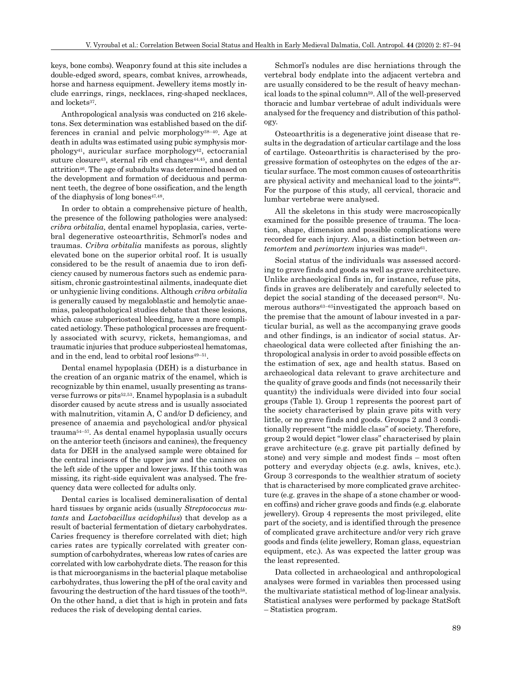keys, bone combs). Weaponry found at this site includes a double-edged sword, spears, combat knives, arrowheads, horse and harness equipment. Jewellery items mostly include earrings, rings, necklaces, ring-shaped necklaces, and lockets<sup>37</sup>.

Anthropological analysis was conducted on 216 skeletons. Sex determination was established based on the differences in cranial and pelvic morphology38–40. Age at death in adults was estimated using pubic symphysis mor $phology<sup>41</sup>$ , auricular surface morphology<sup>42</sup>, ectocranial suture closure<sup>43</sup>, sternal rib end changes<sup>44,45</sup>, and dental attrition46. The age of subadults was determined based on the development and formation of deciduous and permanent teeth, the degree of bone ossification, and the length of the diaphysis of long bones<sup>47,48</sup>.

In order to obtain a comprehensive picture of health, the presence of the following pathologies were analysed: *cribra orbitalia,* dental enamel hypoplasia, caries, vertebral degenerative osteoarthritis, Schmorl's nodes and traumas. *Cribra orbitalia* manifests as porous, slightly elevated bone on the superior orbital roof. It is usually considered to be the result of anaemia due to iron deficiency caused by numerous factors such as endemic parasitism, chronic gastrointestinal ailments, inadequate diet or unhygienic living conditions. Although *cribra orbitalia* is generally caused by megaloblastic and hemolytic anaemias, paleopathological studies debate that these lesions, which cause subperiosteal bleeding, have a more complicated aetiology. These pathological processes are frequently associated with scurvy, rickets, hemangiomas, and traumatic injuries that produce subperiosteal hematomas, and in the end, lead to orbital roof lesions<sup>49–51</sup>.

Dental enamel hypoplasia (DEH) is a disturbance in the creation of an organic matrix of the enamel, which is recognizable by thin enamel, usually presenting as transverse furrows or pits52,53. Enamel hypoplasia is a subadult disorder caused by acute stress and is usually associated with malnutrition, vitamin A, C and/or D deficiency, and presence of anaemia and psychological and/or physical trauma54–57. As dental enamel hypoplasia usually occurs on the anterior teeth (incisors and canines), the frequency data for DEH in the analysed sample were obtained for the central incisors of the upper jaw and the canines on the left side of the upper and lower jaws. If this tooth was missing, its right-side equivalent was analysed. The frequency data were collected for adults only.

Dental caries is localised demineralisation of dental hard tissues by organic acids (usually *Streptococcus mutants* and *Lactobacillus acidophilus*) that develop as a result of bacterial fermentation of dietary carbohydrates. Caries frequency is therefore correlated with diet; high caries rates are typically correlated with greater consumption of carbohydrates, whereas low rates of caries are correlated with low carbohydrate diets. The reason for this is that microorganisms in the bacterial plaque metabolise carbohydrates, thus lowering the pH of the oral cavity and favouring the destruction of the hard tissues of the tooth<sup>58</sup>. On the other hand, a diet that is high in protein and fats reduces the risk of developing dental caries.

Schmorl's nodules are disc herniations through the vertebral body endplate into the adjacent vertebra and are usually considered to be the result of heavy mechanical loads to the spinal column59. All of the well-preserved thoracic and lumbar vertebrae of adult individuals were analysed for the frequency and distribution of this pathology.

Osteoarthritis is a degenerative joint disease that results in the degradation of articular cartilage and the loss of cartilage. Osteoarthritis is characterised by the progressive formation of osteophytes on the edges of the articular surface. The most common causes of osteoarthritis are physical activity and mechanical load to the joints<sup>60</sup>. For the purpose of this study, all cervical, thoracic and lumbar vertebrae were analysed.

All the skeletons in this study were macroscopically examined for the possible presence of trauma. The location, shape, dimension and possible complications were recorded for each injury. Also, a distinction between *antemortem* and *perimortem* injuries was made<sup>61</sup>.

Social status of the individuals was assessed according to grave finds and goods as well as grave architecture. Unlike archaeological finds in, for instance, refuse pits, finds in graves are deliberately and carefully selected to depict the social standing of the deceased person $62$ . Numerous authors63–65investigated the approach based on the premise that the amount of labour invested in a particular burial, as well as the accompanying grave goods and other findings, is an indicator of social status. Archaeological data were collected after finishing the anthropological analysis in order to avoid possible effects on the estimation of sex, age and health status. Based on archaeological data relevant to grave architecture and the quality of grave goods and finds (not necessarily their quantity) the individuals were divided into four social groups (Table 1). Group 1 represents the poorest part of the society characterised by plain grave pits with very little, or no grave finds and goods. Groups 2 and 3 conditionally represent "the middle class" of society. Therefore, group 2 would depict "lower class" characterised by plain grave architecture (e.g. grave pit partially defined by stone) and very simple and modest finds – most often pottery and everyday objects (e.g. awls, knives, etc.). Group 3 corresponds to the wealthier stratum of society that is characterised by more complicated grave architecture (e.g. graves in the shape of a stone chamber or wooden coffins) and richer grave goods and finds (e.g. elaborate jewellery). Group 4 represents the most privileged, elite part of the society, and is identified through the presence of complicated grave architecture and/or very rich grave goods and finds (elite jewellery, Roman glass, equestrian equipment, etc.). As was expected the latter group was the least represented.

Data collected in archaeological and anthropological analyses were formed in variables then processed using the multivariate statistical method of log-linear analysis. Statistical analyses were performed by package StatSoft – Statistica program.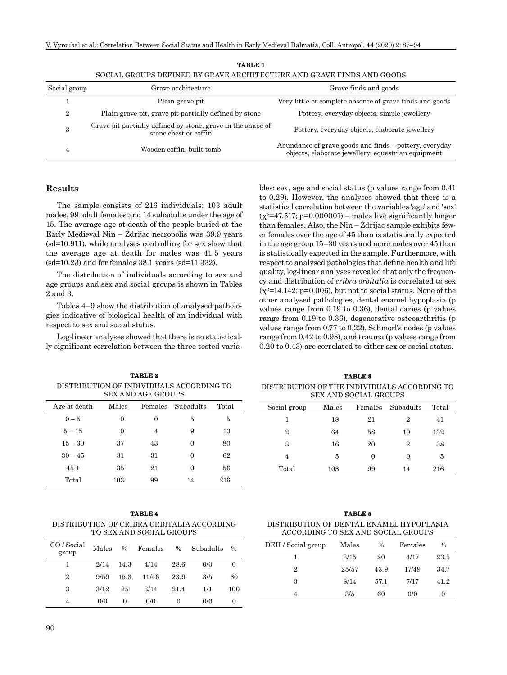| Social group   | Grave architecture                                                                   | Grave finds and goods                                                                                        |
|----------------|--------------------------------------------------------------------------------------|--------------------------------------------------------------------------------------------------------------|
|                | Plain grave pit                                                                      | Very little or complete absence of grave finds and goods                                                     |
| $\overline{2}$ | Plain grave pit, grave pit partially defined by stone                                | Pottery, everyday objects, simple jewellery                                                                  |
| 3              | Grave pit partially defined by stone, grave in the shape of<br>stone chest or coffin | Pottery, everyday objects, elaborate jewellery                                                               |
|                | Wooden coffin, built tomb                                                            | Abundance of grave goods and finds – pottery, everyday<br>objects, elaborate jewellery, equestrian equipment |

| <b>TABLE 1</b>                                                        |
|-----------------------------------------------------------------------|
| SOCIAL GROUPS DEFINED BY GRAVE ARCHITECTURE AND GRAVE FINDS AND GOODS |

# **Results**

The sample consists of 216 individuals; 103 adult males, 99 adult females and 14 subadults under the age of 15. The average age at death of the people buried at the Early Medieval Nin –  $\check{Z}$ drijac necropolis was 39.9 years (sd=10.911), while analyses controlling for sex show that the average age at death for males was 41.5 years  $(sd=10.23)$  and for females 38.1 years  $(sd=11.332)$ .

The distribution of individuals according to sex and age groups and sex and social groups is shown in Tables 2 and 3.

Tables 4–9 show the distribution of analysed pathologies indicative of biological health of an individual with respect to sex and social status.

Log-linear analyses showed that there is no statistically significant correlation between the three tested variables: sex, age and social status (p values range from 0.41 to 0.29). However, the analyses showed that there is a statistical correlation between the variables 'age' and 'sex'  $(x^2=47.517; p=0.000001)$  – males live significantly longer than females. Also, the  $\text{Nin} - \check{\text{Z}}$ drijac sample exhibits fewer females over the age of 45 than is statistically expected in the age group 15–30 years and more males over 45 than is statistically expected in the sample. Furthermore, with respect to analysed pathologies that define health and life quality, log-linear analyses revealed that only the frequency and distribution of *cribra orbitalia* is correlated to sex  $(x^2=14.142; p=0.006)$ , but not to social status. None of the other analysed pathologies, dental enamel hypoplasia (p values range from 0.19 to 0.36), dental caries (p values range from 0.19 to 0.36), degenerative osteoarthritis (p values range from 0.77 to 0.22), Schmorl's nodes (p values range from 0.42 to 0.98), and trauma (p values range from 0.20 to 0.43) are correlated to either sex or social status.

DISTRIBUTION OF THE INDIVIDUALS ACCORDING TO SEX AND SOCIAL GROUPS

| Social group   | Males | Females  | Subadults      | Total |
|----------------|-------|----------|----------------|-------|
| 1              | 18    | 21       | 2              | 41    |
| 2              | 64    | 58       | 10             | 132   |
| 3              | 16    | 20       | $\overline{2}$ | 38    |
| $\overline{4}$ | 5     | $\Omega$ | 0              | 5     |
| Total          | 103   | 99       | 14             | 216   |

**TABLE 2** DISTRIBUTION OF INDIVIDUALS ACCORDING TO SEX AND AGE GROUPS

| <u>ULII IIID IND GIVU U L</u> |          |          |           |       |  |  |  |  |
|-------------------------------|----------|----------|-----------|-------|--|--|--|--|
| Age at death                  | Males    | Females  | Subadults | Total |  |  |  |  |
| $0 - 5$                       | $\theta$ | $\theta$ | 5         | 5     |  |  |  |  |
| $5 - 15$                      | 0        | 4        | 9         | 13    |  |  |  |  |
| $15 - 30$                     | 37       | 43       | 0         | 80    |  |  |  |  |
| $30 - 45$                     | 31       | 31       | 0         | 62    |  |  |  |  |
| $45+$                         | 35       | 21       | 0         | 56    |  |  |  |  |
| Total                         | 103      | 99       | 14        | 216   |  |  |  |  |

| TABLE 4                                    |
|--------------------------------------------|
| DISTRIBUTION OF CRIBRA ORBITALIA ACCORDING |
| TO SEX AND SOCIAL GROUPS                   |

| CO / Social<br>group | Males | $\%$     | Females | $\%$ | Subadults | $\%$     |
|----------------------|-------|----------|---------|------|-----------|----------|
|                      | 2/14  | 14.3     | 4/14    | 28.6 | 0/0       | 0        |
| 2                    | 9/59  | 15.3     | 11/46   | 23.9 | 3/5       | 60       |
| 3                    | 3/12  | 25       | 3/14    | 21.4 | 1/1       | 100      |
| 4                    | 0/0   | $\theta$ | 0/0     | 0    | 0/0       | $\theta$ |

**TABLE 5** DISTRIBUTION OF DENTAL ENAMEL HYPOPLASIA ACCORDING TO SEX AND SOCIAL GROUPS

| DEH / Social group | Males | $\frac{0}{0}$ | Females | $\frac{0}{0}$ |
|--------------------|-------|---------------|---------|---------------|
|                    | 3/15  | 20            | 4/17    | 23.5          |
| $\overline{2}$     | 25/57 | 43.9          | 17/49   | 34.7          |
| 3                  | 8/14  | 57.1          | 7/17    | 41.2          |
|                    | 3/5   | 60            | 0/0     | $\theta$      |

**TABLE 3**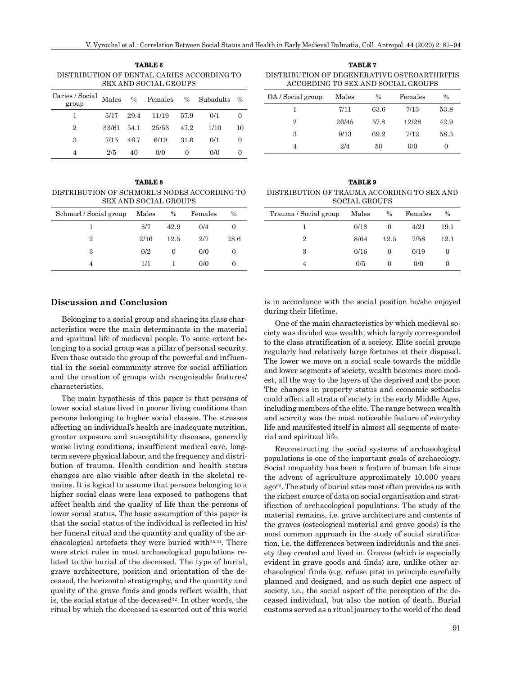| TABLE 6                                    |
|--------------------------------------------|
| DISTRIBUTION OF DENTAL CARIES ACCORDING TO |
| <b>SEX AND SOCIAL GROUPS</b>               |
|                                            |

| Caries / Social Males % Females % Subadults % |             |    |                      |        |      |    |
|-----------------------------------------------|-------------|----|----------------------|--------|------|----|
|                                               |             |    | 5/17 29.4 11/19 57.9 |        | 0/1  | 0  |
| $\overline{2}$                                | 33/61 54.1  |    | 25/53 47.2           |        | 1/10 | 10 |
| 3                                             | $7/15$ 46.7 |    | 6/19                 | - 31.6 | 0/1  | 0  |
|                                               | 2/5         | 40 | 0/0                  |        | 0/0  |    |

**TABLE 8** DISTRIBUTION OF SCHMORL'S NODES ACCORDING TO SEX AND SOCIAL GROUPS

| Schmorl / Social group | Males | $\%$ | Females | $\frac{0}{0}$ |
|------------------------|-------|------|---------|---------------|
|                        | 3/7   | 42.9 | 0/4     |               |
| $\overline{2}$         | 2/16  | 12.5 | 2/7     | 28.6          |
| 3                      | 0/2   |      | 0/0     |               |
|                        | 1/1   |      | 0/0     |               |

**TABLE 7** DISTRIBUTION OF DEGENERATIVE OSTEOARTHRITIS ACCORDING TO SEX AND SOCIAL GROUPS

| OA / Social group | Males | $\frac{0}{0}$ | Females | $\frac{0}{0}$ |
|-------------------|-------|---------------|---------|---------------|
| 1                 | 7/11  | 63.6          | 7/13    | 53.8          |
| $\overline{2}$    | 26/45 | 57.8          | 12/28   | 42.9          |
| 3                 | 9/13  | 69.2          | 7/12    | 58.3          |
| 4                 | 2/4   | 50            | 0/0     | $\theta$      |

**TABLE 9** DISTRIBUTION OF TRAUMA ACCORDING TO SEX AND SOCIAL GROUPS

| Trauma / Social group | Males | $\%$     | Females | $\frac{0}{0}$ |
|-----------------------|-------|----------|---------|---------------|
|                       | 0/18  | $\Omega$ | 4/21    | 19.1          |
| 2                     | 8/64  | 12.5     | 7/58    | 12.1          |
| 3                     | 0/16  | $\Omega$ | 0/19    | $\Omega$      |
| 4                     | 0/5   |          | 0/0     | 0             |

#### **Discussion and Conclusion**

Belonging to a social group and sharing its class characteristics were the main determinants in the material and spiritual life of medieval people. To some extent belonging to a social group was a pillar of personal security. Even those outside the group of the powerful and influential in the social community strove for social affiliation and the creation of groups with recognisable features/ characteristics.

The main hypothesis of this paper is that persons of lower social status lived in poorer living conditions than persons belonging to higher social classes. The stresses affecting an individual's health are inadequate nutrition, greater exposure and susceptibility diseases, generally worse living conditions, insufficient medical care, longterm severe physical labour, and the frequency and distribution of trauma. Health condition and health status changes are also visible after death in the skeletal remains. It is logical to assume that persons belonging to a higher social class were less exposed to pathogens that affect health and the quality of life than the persons of lower social status. The basic assumption of this paper is that the social status of the individual is reflected in his/ her funeral ritual and the quantity and quality of the archaeological artefacts they were buried with25,31. There were strict rules in most archaeological populations related to the burial of the deceased. The type of burial, grave architecture, position and orientation of the deceased, the horizontal stratigraphy, and the quantity and quality of the grave finds and goods reflect wealth, that is, the social status of the deceased<sup>32</sup>. In other words, the ritual by which the deceased is escorted out of this world is in accordance with the social position he/she enjoyed during their lifetime.

One of the main characteristics by which medieval society was divided was wealth, which largely corresponded to the class stratification of a society. Elite social groups regularly had relatively large fortunes at their disposal. The lower we move on a social scale towards the middle and lower segments of society, wealth becomes more modest, all the way to the layers of the deprived and the poor. The changes in property status and economic setbacks could affect all strata of society in the early Middle Ages, including members of the elite. The range between wealth and scarcity was the most noticeable feature of everyday life and manifested itself in almost all segments of material and spiritual life.

Reconstructing the social systems of archaeological populations is one of the important goals of archaeology. Social inequality has been a feature of human life since the advent of agriculture approximately 10.000 years  $ago^{66}$ . The study of burial sites most often provides us with the richest source of data on social organisation and stratification of archaeological populations. The study of the material remains, i.e. grave architecture and contents of the graves (osteological material and grave goods) is the most common approach in the study of social stratification, i.e. the differences between individuals and the society they created and lived in. Graves (which is especially evident in grave goods and finds) are, unlike other archaeological finds (e.g. refuse pits) in principle carefully planned and designed, and as such depict one aspect of society, i.e., the social aspect of the perception of the deceased individual, but also the notion of death. Burial customs served as a ritual journey to the world of the dead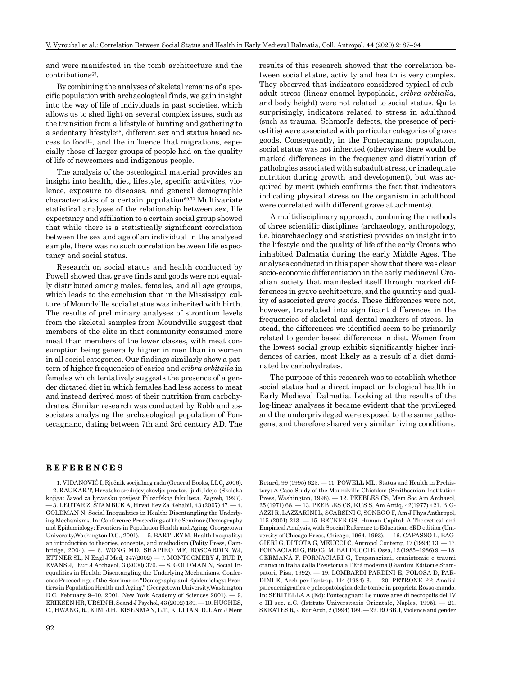and were manifested in the tomb architecture and the contributions<sup>67</sup>.

By combining the analyses of skeletal remains of a specific population with archaeological finds, we gain insight into the way of life of individuals in past societies, which allows us to shed light on several complex issues, such as the transition from a lifestyle of hunting and gathering to a sedentary lifestyle68, different sex and status based ac- $\cos$  to food<sup>11</sup>, and the influence that migrations, especially those of larger groups of people had on the quality of life of newcomers and indigenous people.

The analysis of the osteological material provides an insight into health, diet, lifestyle, specific activities, violence, exposure to diseases, and general demographic characteristics of a certain population $69,70$ . Multivariate statistical analyses of the relationship between sex, life expectancy and affiliation to a certain social group showed that while there is a statistically significant correlation between the sex and age of an individual in the analysed sample, there was no such correlation between life expectancy and social status.

Research on social status and health conducted by Powell showed that grave finds and goods were not equally distributed among males, females, and all age groups, which leads to the conclusion that in the Mississippi culture of Moundville social status was inherited with birth. The results of preliminary analyses of strontium levels from the skeletal samples from Moundville suggest that members of the elite in that community consumed more meat than members of the lower classes, with meat consumption being generally higher in men than in women in all social categories. Our findings similarly show a pattern of higher frequencies of caries and *cribra orbitalia* in females which tentatively suggests the presence of a gender dictated diet in which females had less access to meat and instead derived most of their nutrition from carbohydrates. Similar research was conducted by Robb and associates analysing the archaeological population of Pontecagnano, dating between 7th and 3rd century AD. The results of this research showed that the correlation between social status, activity and health is very complex. They observed that indicators considered typical of subadult stress (linear enamel hypoplasia, *cribra orbitalia*, and body height) were not related to social status. Quite surprisingly, indicators related to stress in adulthood (such as trauma, Schmorl's defects, the presence of periostitis) were associated with particular categories of grave goods. Consequently, in the Pontecagnano population, social status was not inherited (otherwise there would be marked differences in the frequency and distribution of pathologies associated with subadult stress, or inadequate nutrition during growth and development), but was acquired by merit (which confirms the fact that indicators indicating physical stress on the organism in adulthood were correlated with different grave attachments).

A multidisciplinary approach, combining the methods of three scientific disciplines (archaeology, anthropology, i.e. bioarchaeology and statistics) provides an insight into the lifestyle and the quality of life of the early Croats who inhabited Dalmatia during the early Middle Ages. The analyses conducted in this paper show that there was clear socio-economic differentiation in the early mediaeval Croatian society that manifested itself through marked differences in grave architecture, and the quantity and quality of associated grave goods. These differences were not, however, translated into significant differences in the frequencies of skeletal and dental markers of stress. Instead, the differences we identified seem to be primarily related to gender based differences in diet. Women from the lowest social group exhibit significantly higher incidences of caries, most likely as a result of a diet dominated by carbohydrates.

The purpose of this research was to establish whether social status had a direct impact on biological health in Early Medieval Dalmatia. Looking at the results of the log-linear analyses it became evident that the privileged and the underprivileged were exposed to the same pathogens, and therefore shared very similar living conditions.

#### **REFERENCES**

1. VIDANOVIĆ I, Rječnik socijalnog rada (General Books, LLC, 2006). — 2. RAUKAR T, Hrvatsko srednjovjekovlje: prostor, ljudi, ideje (Školska knjiga: Zavod za hrvatsku povijest Filozofskog fakulteta, Zagreb, 1997). — 3. LEUTAR Z, ŠTAMBUK A, Hrvat Rev Za Rehabil, 43 (2007) 47. — 4. GOLDMAN N, Social Inequalities in Health: Disentangling the Underlying Mechanisms. In: Conference Proceedings of the Seminar (Demography and Epidemiology: Frontiers in Population Health and Aging, Georgetown University,Washington D.C., 2001). — 5. BARTLEY M, Health Inequality: an introduction to theories, concepts, and methodism (Polity Press, Cambridge, 2004). — 6. WONG MD, SHAPIRO MF, BOSCARDIN WJ, ETTNER SL, N Engl J Med, 347(2002) — 7. MONTGOMERY J, BUD P, EVANS J, Eur J Archaeol, 3 (2000) 370. — 8. GOLDMAN N, Social Inequalities in Health: Disentangling the Underlying Mechanisms. Conference Proceedings of the Seminar on "Demography and Epidemiology: Frontiers in Population Health and Aging," (Georgetown University,Washington D.C. February 9–10, 2001. New York Academy of Sciences 2001). — 9. ERIKSEN HR, URSIN H, Scand J Psychol, 43 (2002) 189. — 10. HUGHES, C., HWANG, R., KIM, J.H., EISENMAN, L.T., KILLIAN, D.J. Am J Ment

92

Retard, 99 (1995) 623. — 11. POWELL ML, Status and Health in Prehistory: A Case Study of the Moundville Chiefdom (Smithsonian Institution Press, Washington, 1998). — 12. PEEBLES CS, Mem Soc Am Archaeol, 25 (1971) 68. — 13. PEEBLES CS, KUS S, Am Antiq, 42(1977) 421. BIG-AZZI R, LAZZARINI L, SCARSINI C, SONEGO F, Am J Phys Anthropol, 115 (2001) 213. — 15. BECKER GS, Human Capital: A Theoretical and Empirical Analysis, with Special Reference to Education; 3RD edition (University of Chicago Press, Chicago, 1964, 1993). — 16. CAPASSO L, BAG-GIERI G, DI TOTA G, MEUCCI C, Antropol Contemp, 17 (1994) 13. — 17. FORNACIARI G, BROGI M, BALDUCCI E, Ossa, 12 (1985–1986) 9. — 18. GERMANÀ F, FORNACIARI G, Trapanazioni, craniotomie e traumi cranici in Italia dalla Preistoria all'Età moderna (Giardini Editori e Stampatori, Pisa, 1992). — 19. LOMBARDI PARDINI E, POLOSA D, PAR-DINI E, Arch per l'antrop, 114 (1984) 3. — 20. PETRONE PP, Analisi paleodemigrafica e paleopatologica delle tombe in proprieta Rosso-mando. In: SERITELLA A (Ed): Pontecagnan: Le nuove aree di necropolis del IV e III sec. a.C. (Istituto Universitario Orientale, Naples, 1995). — 21. SKEATES R, J Eur Arch, 2 (1994) 199. — 22. ROBB J, Violence and gender